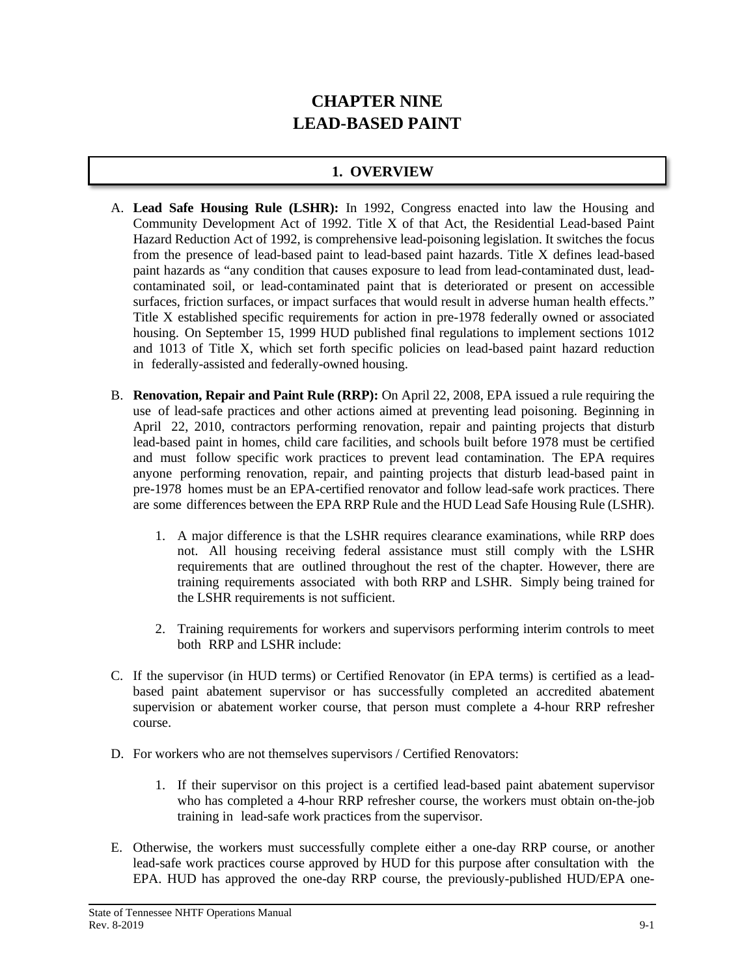# **CHAPTER NINE LEAD-BASED PAINT**

## **1. OVERVIEW**

- A. **Lead Safe Housing Rule (LSHR):** In 1992, Congress enacted into law the Housing and Community Development Act of 1992. Title X of that Act, the Residential Lead-based Paint Hazard Reduction Act of 1992, is comprehensive lead-poisoning legislation. It switches the focus from the presence of lead-based paint to lead-based paint hazards. Title X defines lead-based paint hazards as "any condition that causes exposure to lead from lead-contaminated dust, leadcontaminated soil, or lead-contaminated paint that is deteriorated or present on accessible surfaces, friction surfaces, or impact surfaces that would result in adverse human health effects." Title X established specific requirements for action in pre-1978 federally owned or associated housing. On September 15, 1999 HUD published final regulations to implement sections 1012 and 1013 of Title X, which set forth specific policies on lead-based paint hazard reduction in federally-assisted and federally-owned housing.
- B. **Renovation, Repair and Paint Rule (RRP):** On April 22, 2008, EPA issued a rule requiring the use of lead-safe practices and other actions aimed at preventing lead poisoning. Beginning in April 22, 2010, contractors performing renovation, repair and painting projects that disturb lead-based paint in homes, child care facilities, and schools built before 1978 must be certified and must follow specific work practices to prevent lead contamination. The EPA requires anyone performing renovation, repair, and painting projects that disturb lead-based paint in pre-1978 homes must be an EPA-certified renovator and follow lead-safe work practices. There are some differences between the EPA RRP Rule and the HUD Lead Safe Housing Rule (LSHR).
	- 1. A major difference is that the LSHR requires clearance examinations, while RRP does not. All housing receiving federal assistance must still comply with the LSHR requirements that are outlined throughout the rest of the chapter. However, there are training requirements associated with both RRP and LSHR. Simply being trained for the LSHR requirements is not sufficient.
	- 2. Training requirements for workers and supervisors performing interim controls to meet both RRP and LSHR include:
- C. If the supervisor (in HUD terms) or Certified Renovator (in EPA terms) is certified as a leadbased paint abatement supervisor or has successfully completed an accredited abatement supervision or abatement worker course, that person must complete a 4-hour RRP refresher course.
- D. For workers who are not themselves supervisors / Certified Renovators:
	- 1. If their supervisor on this project is a certified lead-based paint abatement supervisor who has completed a 4-hour RRP refresher course, the workers must obtain on-the-job training in lead-safe work practices from the supervisor.
- E. Otherwise, the workers must successfully complete either a one-day RRP course, or another lead-safe work practices course approved by HUD for this purpose after consultation with the EPA. HUD has approved the one-day RRP course, the previously-published HUD/EPA one-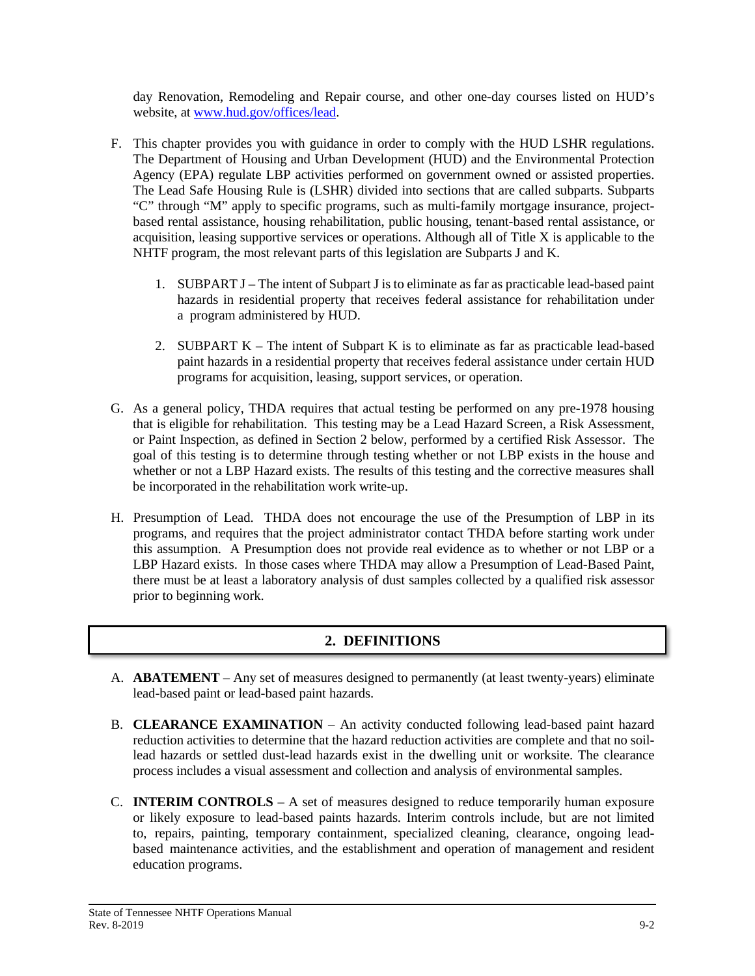day Renovation, Remodeling and Repair course, and other one-day courses listed on HUD's website, at www.hud.gov/offices/lead.

- F. This chapter provides you with guidance in order to comply with the HUD LSHR regulations. The Department of Housing and Urban Development (HUD) and the Environmental Protection Agency (EPA) regulate LBP activities performed on government owned or assisted properties. The Lead Safe Housing Rule is (LSHR) divided into sections that are called subparts. Subparts "C" through "M" apply to specific programs, such as multi-family mortgage insurance, projectbased rental assistance, housing rehabilitation, public housing, tenant-based rental assistance, or acquisition, leasing supportive services or operations. Although all of Title X is applicable to the NHTF program, the most relevant parts of this legislation are Subparts J and K.
	- 1. SUBPART J The intent of Subpart J is to eliminate as far as practicable lead-based paint hazards in residential property that receives federal assistance for rehabilitation under a program administered by HUD.
	- 2. SUBPART  $K$  The intent of Subpart K is to eliminate as far as practicable lead-based paint hazards in a residential property that receives federal assistance under certain HUD programs for acquisition, leasing, support services, or operation.
- G. As a general policy, THDA requires that actual testing be performed on any pre-1978 housing that is eligible for rehabilitation. This testing may be a Lead Hazard Screen, a Risk Assessment, or Paint Inspection, as defined in Section 2 below, performed by a certified Risk Assessor. The goal of this testing is to determine through testing whether or not LBP exists in the house and whether or not a LBP Hazard exists. The results of this testing and the corrective measures shall be incorporated in the rehabilitation work write-up.
- H. Presumption of Lead. THDA does not encourage the use of the Presumption of LBP in its programs, and requires that the project administrator contact THDA before starting work under this assumption. A Presumption does not provide real evidence as to whether or not LBP or a LBP Hazard exists. In those cases where THDA may allow a Presumption of Lead-Based Paint, there must be at least a laboratory analysis of dust samples collected by a qualified risk assessor prior to beginning work.

#### **2. DEFINITIONS**

- A. **ABATEMENT** Any set of measures designed to permanently (at least twenty-years) eliminate lead-based paint or lead-based paint hazards.
- B. **CLEARANCE EXAMINATION** An activity conducted following lead-based paint hazard reduction activities to determine that the hazard reduction activities are complete and that no soillead hazards or settled dust-lead hazards exist in the dwelling unit or worksite. The clearance process includes a visual assessment and collection and analysis of environmental samples.
- C. **INTERIM CONTROLS** A set of measures designed to reduce temporarily human exposure or likely exposure to lead-based paints hazards. Interim controls include, but are not limited to, repairs, painting, temporary containment, specialized cleaning, clearance, ongoing leadbased maintenance activities, and the establishment and operation of management and resident education programs.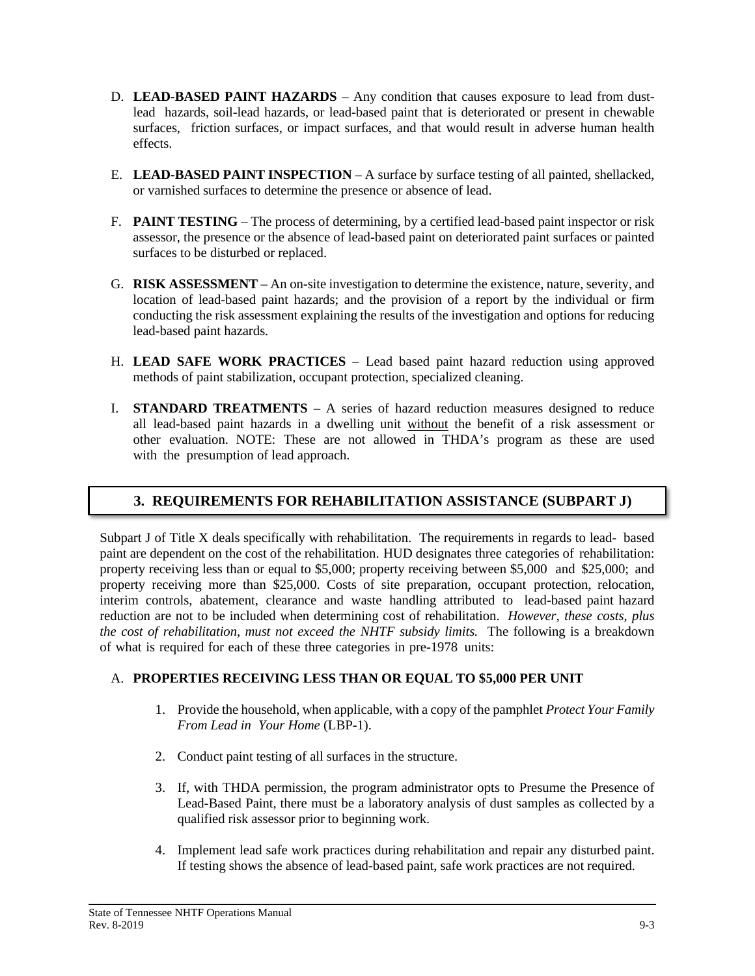- D. **LEAD-BASED PAINT HAZARDS** Any condition that causes exposure to lead from dustlead hazards, soil-lead hazards, or lead-based paint that is deteriorated or present in chewable surfaces, friction surfaces, or impact surfaces, and that would result in adverse human health effects.
- E. **LEAD-BASED PAINT INSPECTION** A surface by surface testing of all painted, shellacked, or varnished surfaces to determine the presence or absence of lead.
- F. **PAINT TESTING** The process of determining, by a certified lead-based paint inspector or risk assessor, the presence or the absence of lead-based paint on deteriorated paint surfaces or painted surfaces to be disturbed or replaced.
- G. **RISK ASSESSMENT** An on-site investigation to determine the existence, nature, severity, and location of lead-based paint hazards; and the provision of a report by the individual or firm conducting the risk assessment explaining the results of the investigation and options for reducing lead-based paint hazards.
- H. **LEAD SAFE WORK PRACTICES** Lead based paint hazard reduction using approved methods of paint stabilization, occupant protection, specialized cleaning.
- I. **STANDARD TREATMENTS** A series of hazard reduction measures designed to reduce all lead-based paint hazards in a dwelling unit without the benefit of a risk assessment or other evaluation. NOTE: These are not allowed in THDA's program as these are used with the presumption of lead approach.

# **3. REQUIREMENTS FOR REHABILITATION ASSISTANCE (SUBPART J)**

Subpart J of Title X deals specifically with rehabilitation. The requirements in regards to lead- based paint are dependent on the cost of the rehabilitation. HUD designates three categories of rehabilitation: property receiving less than or equal to \$5,000; property receiving between \$5,000 and \$25,000; and property receiving more than \$25,000. Costs of site preparation, occupant protection, relocation, interim controls, abatement, clearance and waste handling attributed to lead-based paint hazard reduction are not to be included when determining cost of rehabilitation. *However, these costs, plus the cost of rehabilitation, must not exceed the NHTF subsidy limits.* The following is a breakdown of what is required for each of these three categories in pre-1978 units:

#### A. **PROPERTIES RECEIVING LESS THAN OR EQUAL TO \$5,000 PER UNIT**

- 1. Provide the household, when applicable, with a copy of the pamphlet *Protect Your Family From Lead in Your Home* (LBP-1).
- 2. Conduct paint testing of all surfaces in the structure.
- 3. If, with THDA permission, the program administrator opts to Presume the Presence of Lead-Based Paint, there must be a laboratory analysis of dust samples as collected by a qualified risk assessor prior to beginning work.
- 4. Implement lead safe work practices during rehabilitation and repair any disturbed paint. If testing shows the absence of lead-based paint, safe work practices are not required.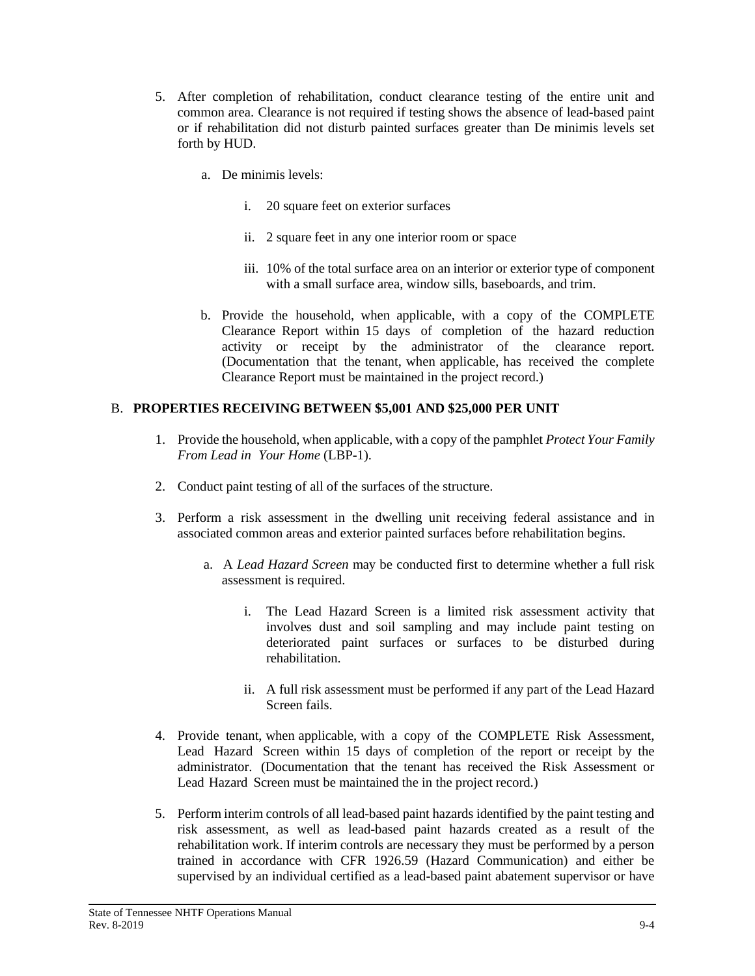- 5. After completion of rehabilitation, conduct clearance testing of the entire unit and common area. Clearance is not required if testing shows the absence of lead-based paint or if rehabilitation did not disturb painted surfaces greater than De minimis levels set forth by HUD.
	- a. De minimis levels:
		- i. 20 square feet on exterior surfaces
		- ii. 2 square feet in any one interior room or space
		- iii. 10% of the total surface area on an interior or exterior type of component with a small surface area, window sills, baseboards, and trim.
	- b. Provide the household, when applicable, with a copy of the COMPLETE Clearance Report within 15 days of completion of the hazard reduction activity or receipt by the administrator of the clearance report. (Documentation that the tenant, when applicable, has received the complete Clearance Report must be maintained in the project record.)

#### B. **PROPERTIES RECEIVING BETWEEN \$5,001 AND \$25,000 PER UNIT**

- 1. Provide the household, when applicable, with a copy of the pamphlet *Protect Your Family From Lead in Your Home* (LBP-1).
- 2. Conduct paint testing of all of the surfaces of the structure.
- 3. Perform a risk assessment in the dwelling unit receiving federal assistance and in associated common areas and exterior painted surfaces before rehabilitation begins.
	- a. A *Lead Hazard Screen* may be conducted first to determine whether a full risk assessment is required.
		- i. The Lead Hazard Screen is a limited risk assessment activity that involves dust and soil sampling and may include paint testing on deteriorated paint surfaces or surfaces to be disturbed during rehabilitation.
		- ii. A full risk assessment must be performed if any part of the Lead Hazard Screen fails.
- 4. Provide tenant, when applicable, with a copy of the COMPLETE Risk Assessment, Lead Hazard Screen within 15 days of completion of the report or receipt by the administrator. (Documentation that the tenant has received the Risk Assessment or Lead Hazard Screen must be maintained the in the project record.)
- 5. Perform interim controls of all lead-based paint hazards identified by the paint testing and risk assessment, as well as lead-based paint hazards created as a result of the rehabilitation work. If interim controls are necessary they must be performed by a person trained in accordance with CFR 1926.59 (Hazard Communication) and either be supervised by an individual certified as a lead-based paint abatement supervisor or have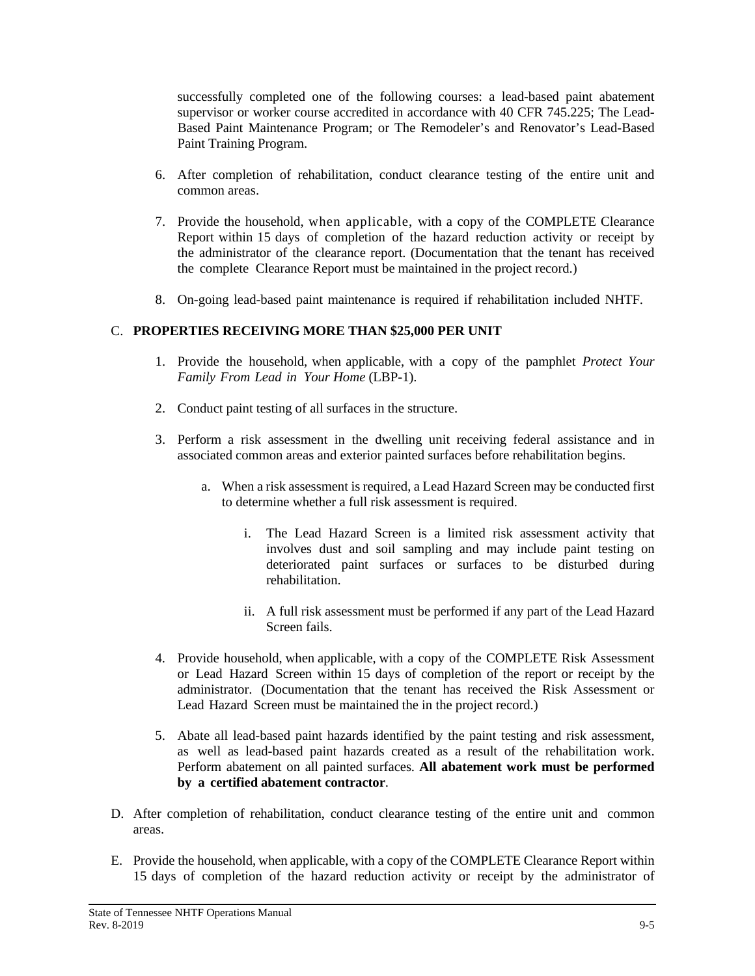successfully completed one of the following courses: a lead-based paint abatement supervisor or worker course accredited in accordance with 40 CFR 745.225; The Lead-Based Paint Maintenance Program; or The Remodeler's and Renovator's Lead-Based Paint Training Program.

- 6. After completion of rehabilitation, conduct clearance testing of the entire unit and common areas.
- 7. Provide the household, when applicable, with a copy of the COMPLETE Clearance Report within 15 days of completion of the hazard reduction activity or receipt by the administrator of the clearance report. (Documentation that the tenant has received the complete Clearance Report must be maintained in the project record.)
- 8. On-going lead-based paint maintenance is required if rehabilitation included NHTF.

#### C. **PROPERTIES RECEIVING MORE THAN \$25,000 PER UNIT**

- 1. Provide the household, when applicable, with a copy of the pamphlet *Protect Your Family From Lead in Your Home* (LBP-1).
- 2. Conduct paint testing of all surfaces in the structure.
- 3. Perform a risk assessment in the dwelling unit receiving federal assistance and in associated common areas and exterior painted surfaces before rehabilitation begins.
	- a. When a risk assessment is required, a Lead Hazard Screen may be conducted first to determine whether a full risk assessment is required.
		- i. The Lead Hazard Screen is a limited risk assessment activity that involves dust and soil sampling and may include paint testing on deteriorated paint surfaces or surfaces to be disturbed during rehabilitation.
		- ii. A full risk assessment must be performed if any part of the Lead Hazard Screen fails.
- 4. Provide household, when applicable, with a copy of the COMPLETE Risk Assessment or Lead Hazard Screen within 15 days of completion of the report or receipt by the administrator. (Documentation that the tenant has received the Risk Assessment or Lead Hazard Screen must be maintained the in the project record.)
- 5. Abate all lead-based paint hazards identified by the paint testing and risk assessment, as well as lead-based paint hazards created as a result of the rehabilitation work. Perform abatement on all painted surfaces. **All abatement work must be performed by a certified abatement contractor**.
- D. After completion of rehabilitation, conduct clearance testing of the entire unit and common areas.
- E. Provide the household, when applicable, with a copy of the COMPLETE Clearance Report within 15 days of completion of the hazard reduction activity or receipt by the administrator of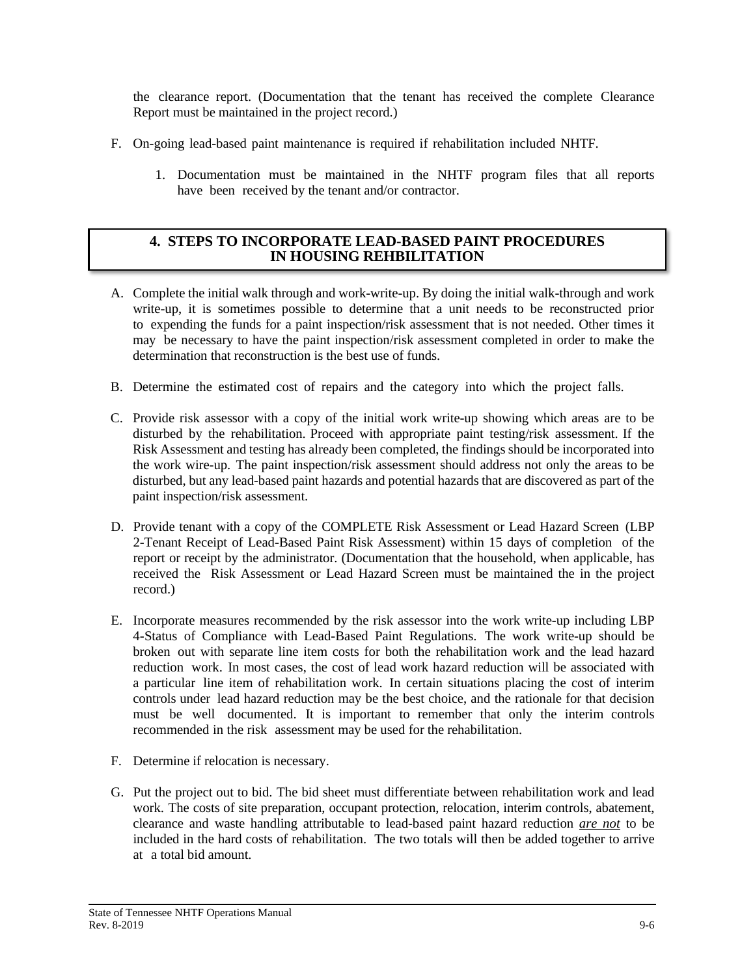the clearance report. (Documentation that the tenant has received the complete Clearance Report must be maintained in the project record.)

- F. On-going lead-based paint maintenance is required if rehabilitation included NHTF.
	- 1. Documentation must be maintained in the NHTF program files that all reports have been received by the tenant and/or contractor.

#### **4. STEPS TO INCORPORATE LEAD-BASED PAINT PROCEDURES IN HOUSING REHBILITATION**

- A. Complete the initial walk through and work-write-up. By doing the initial walk-through and work write-up, it is sometimes possible to determine that a unit needs to be reconstructed prior to expending the funds for a paint inspection/risk assessment that is not needed. Other times it may be necessary to have the paint inspection/risk assessment completed in order to make the determination that reconstruction is the best use of funds.
- B. Determine the estimated cost of repairs and the category into which the project falls.
- C. Provide risk assessor with a copy of the initial work write-up showing which areas are to be disturbed by the rehabilitation. Proceed with appropriate paint testing/risk assessment. If the Risk Assessment and testing has already been completed, the findings should be incorporated into the work wire-up. The paint inspection/risk assessment should address not only the areas to be disturbed, but any lead-based paint hazards and potential hazards that are discovered as part of the paint inspection/risk assessment.
- D. Provide tenant with a copy of the COMPLETE Risk Assessment or Lead Hazard Screen (LBP 2-Tenant Receipt of Lead-Based Paint Risk Assessment) within 15 days of completion of the report or receipt by the administrator. (Documentation that the household, when applicable, has received the Risk Assessment or Lead Hazard Screen must be maintained the in the project record.)
- E. Incorporate measures recommended by the risk assessor into the work write-up including LBP 4-Status of Compliance with Lead-Based Paint Regulations. The work write-up should be broken out with separate line item costs for both the rehabilitation work and the lead hazard reduction work. In most cases, the cost of lead work hazard reduction will be associated with a particular line item of rehabilitation work. In certain situations placing the cost of interim controls under lead hazard reduction may be the best choice, and the rationale for that decision must be well documented. It is important to remember that only the interim controls recommended in the risk assessment may be used for the rehabilitation.
- F. Determine if relocation is necessary.
- G. Put the project out to bid. The bid sheet must differentiate between rehabilitation work and lead work. The costs of site preparation, occupant protection, relocation, interim controls, abatement, clearance and waste handling attributable to lead-based paint hazard reduction *are not* to be included in the hard costs of rehabilitation. The two totals will then be added together to arrive at a total bid amount.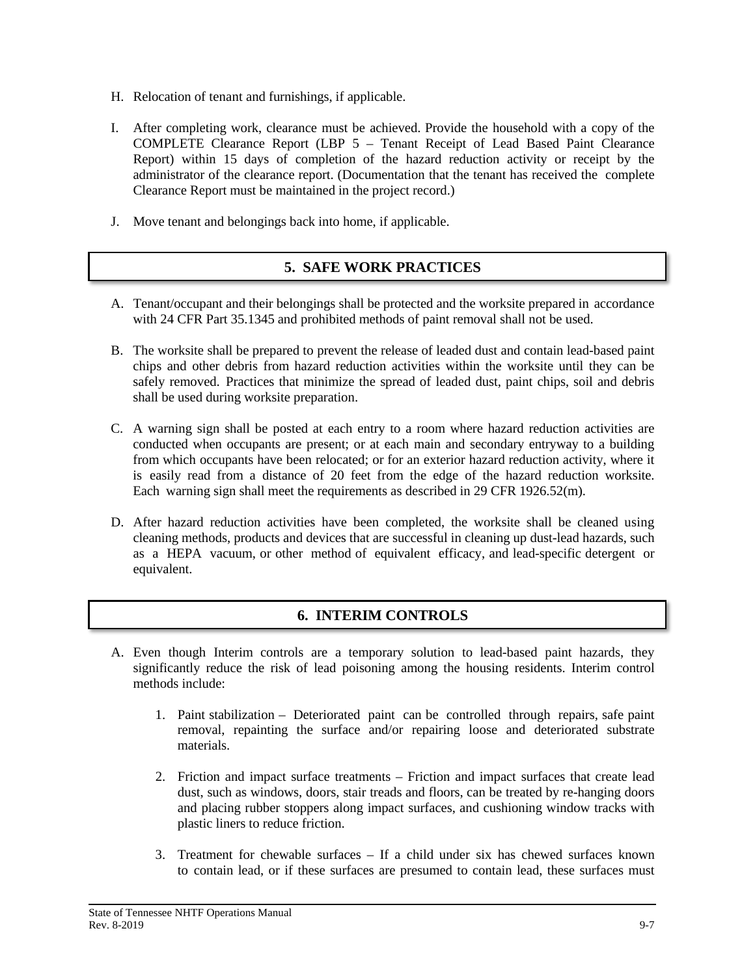- H. Relocation of tenant and furnishings, if applicable.
- I. After completing work, clearance must be achieved. Provide the household with a copy of the COMPLETE Clearance Report (LBP 5 – Tenant Receipt of Lead Based Paint Clearance Report) within 15 days of completion of the hazard reduction activity or receipt by the administrator of the clearance report. (Documentation that the tenant has received the complete Clearance Report must be maintained in the project record.)
- J. Move tenant and belongings back into home, if applicable.

# **5. SAFE WORK PRACTICES**

- A. Tenant/occupant and their belongings shall be protected and the worksite prepared in accordance with 24 CFR Part 35.1345 and prohibited methods of paint removal shall not be used.
- B. The worksite shall be prepared to prevent the release of leaded dust and contain lead-based paint chips and other debris from hazard reduction activities within the worksite until they can be safely removed. Practices that minimize the spread of leaded dust, paint chips, soil and debris shall be used during worksite preparation.
- C. A warning sign shall be posted at each entry to a room where hazard reduction activities are conducted when occupants are present; or at each main and secondary entryway to a building from which occupants have been relocated; or for an exterior hazard reduction activity, where it is easily read from a distance of 20 feet from the edge of the hazard reduction worksite. Each warning sign shall meet the requirements as described in 29 CFR 1926.52(m).
- D. After hazard reduction activities have been completed, the worksite shall be cleaned using cleaning methods, products and devices that are successful in cleaning up dust-lead hazards, such as a HEPA vacuum, or other method of equivalent efficacy, and lead-specific detergent or equivalent.

# **6. INTERIM CONTROLS**

- A. Even though Interim controls are a temporary solution to lead-based paint hazards, they significantly reduce the risk of lead poisoning among the housing residents. Interim control methods include:
	- 1. Paint stabilization Deteriorated paint can be controlled through repairs, safe paint removal, repainting the surface and/or repairing loose and deteriorated substrate materials.
	- 2. Friction and impact surface treatments Friction and impact surfaces that create lead dust, such as windows, doors, stair treads and floors, can be treated by re-hanging doors and placing rubber stoppers along impact surfaces, and cushioning window tracks with plastic liners to reduce friction.
	- 3. Treatment for chewable surfaces If a child under six has chewed surfaces known to contain lead, or if these surfaces are presumed to contain lead, these surfaces must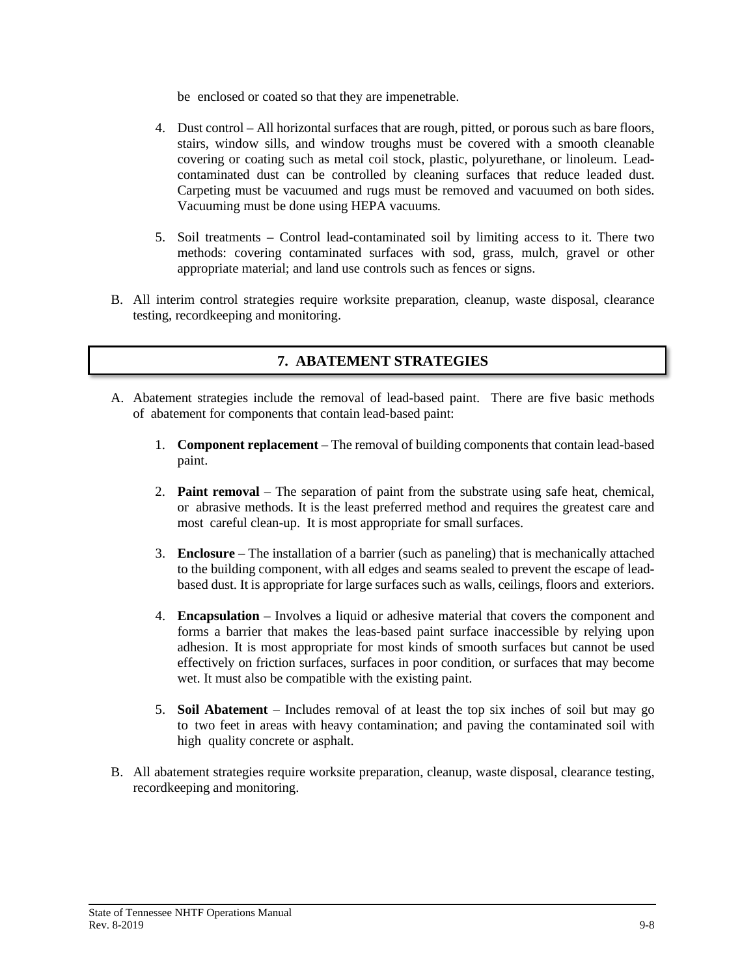be enclosed or coated so that they are impenetrable.

- 4. Dust control All horizontal surfaces that are rough, pitted, or porous such as bare floors, stairs, window sills, and window troughs must be covered with a smooth cleanable covering or coating such as metal coil stock, plastic, polyurethane, or linoleum. Leadcontaminated dust can be controlled by cleaning surfaces that reduce leaded dust. Carpeting must be vacuumed and rugs must be removed and vacuumed on both sides. Vacuuming must be done using HEPA vacuums.
- 5. Soil treatments Control lead-contaminated soil by limiting access to it. There two methods: covering contaminated surfaces with sod, grass, mulch, gravel or other appropriate material; and land use controls such as fences or signs.
- B. All interim control strategies require worksite preparation, cleanup, waste disposal, clearance testing, recordkeeping and monitoring.

#### **7. ABATEMENT STRATEGIES**

- A. Abatement strategies include the removal of lead-based paint. There are five basic methods of abatement for components that contain lead-based paint:
	- 1. **Component replacement** The removal of building components that contain lead-based paint.
	- 2. **Paint removal** The separation of paint from the substrate using safe heat, chemical, or abrasive methods. It is the least preferred method and requires the greatest care and most careful clean-up. It is most appropriate for small surfaces.
	- 3. **Enclosure** The installation of a barrier (such as paneling) that is mechanically attached to the building component, with all edges and seams sealed to prevent the escape of leadbased dust. It is appropriate for large surfaces such as walls, ceilings, floors and exteriors.
	- 4. **Encapsulation** Involves a liquid or adhesive material that covers the component and forms a barrier that makes the leas-based paint surface inaccessible by relying upon adhesion. It is most appropriate for most kinds of smooth surfaces but cannot be used effectively on friction surfaces, surfaces in poor condition, or surfaces that may become wet. It must also be compatible with the existing paint.
	- 5. **Soil Abatement** Includes removal of at least the top six inches of soil but may go to two feet in areas with heavy contamination; and paving the contaminated soil with high quality concrete or asphalt.
- B. All abatement strategies require worksite preparation, cleanup, waste disposal, clearance testing, recordkeeping and monitoring.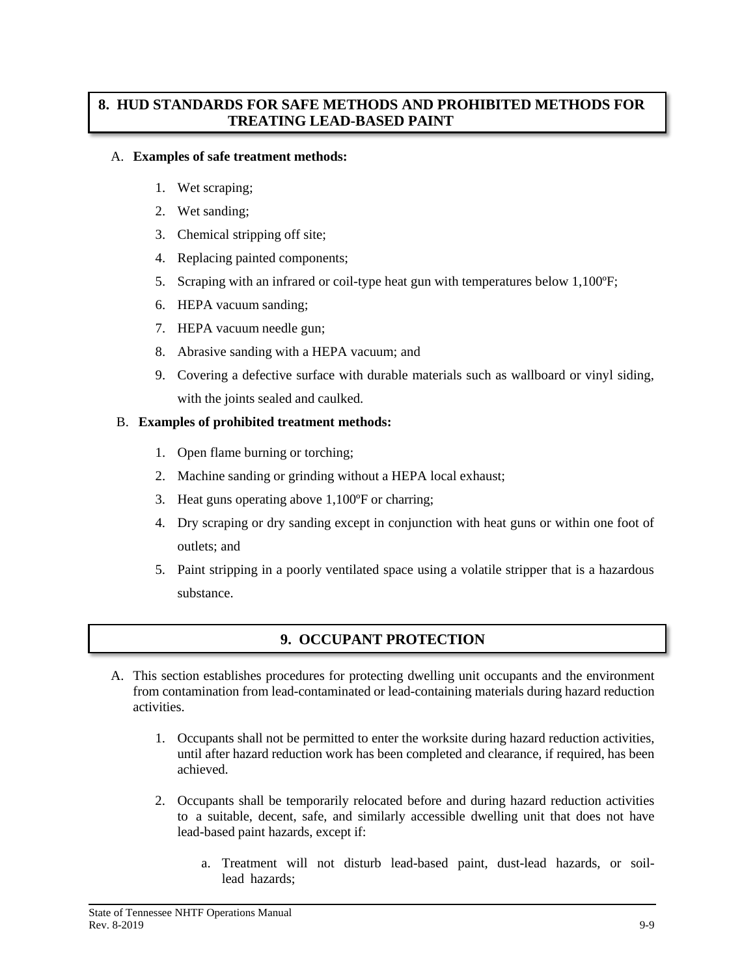## **8. HUD STANDARDS FOR SAFE METHODS AND PROHIBITED METHODS FOR TREATING LEAD-BASED PAINT**

#### A. **Examples of safe treatment methods:**

- 1. Wet scraping;
- 2. Wet sanding;
- 3. Chemical stripping off site;
- 4. Replacing painted components;
- 5. Scraping with an infrared or coil-type heat gun with temperatures below 1,100ºF;
- 6. HEPA vacuum sanding;
- 7. HEPA vacuum needle gun;
- 8. Abrasive sanding with a HEPA vacuum; and
- 9. Covering a defective surface with durable materials such as wallboard or vinyl siding, with the joints sealed and caulked.

#### B. **Examples of prohibited treatment methods:**

- 1. Open flame burning or torching;
- 2. Machine sanding or grinding without a HEPA local exhaust;
- 3. Heat guns operating above 1,100ºF or charring;
- 4. Dry scraping or dry sanding except in conjunction with heat guns or within one foot of outlets; and
- 5. Paint stripping in a poorly ventilated space using a volatile stripper that is a hazardous substance.

# **9. OCCUPANT PROTECTION**

- A. This section establishes procedures for protecting dwelling unit occupants and the environment from contamination from lead-contaminated or lead-containing materials during hazard reduction activities.
	- 1. Occupants shall not be permitted to enter the worksite during hazard reduction activities, until after hazard reduction work has been completed and clearance, if required, has been achieved.
	- 2. Occupants shall be temporarily relocated before and during hazard reduction activities to a suitable, decent, safe, and similarly accessible dwelling unit that does not have lead-based paint hazards, except if:
		- a. Treatment will not disturb lead-based paint, dust-lead hazards, or soillead hazards;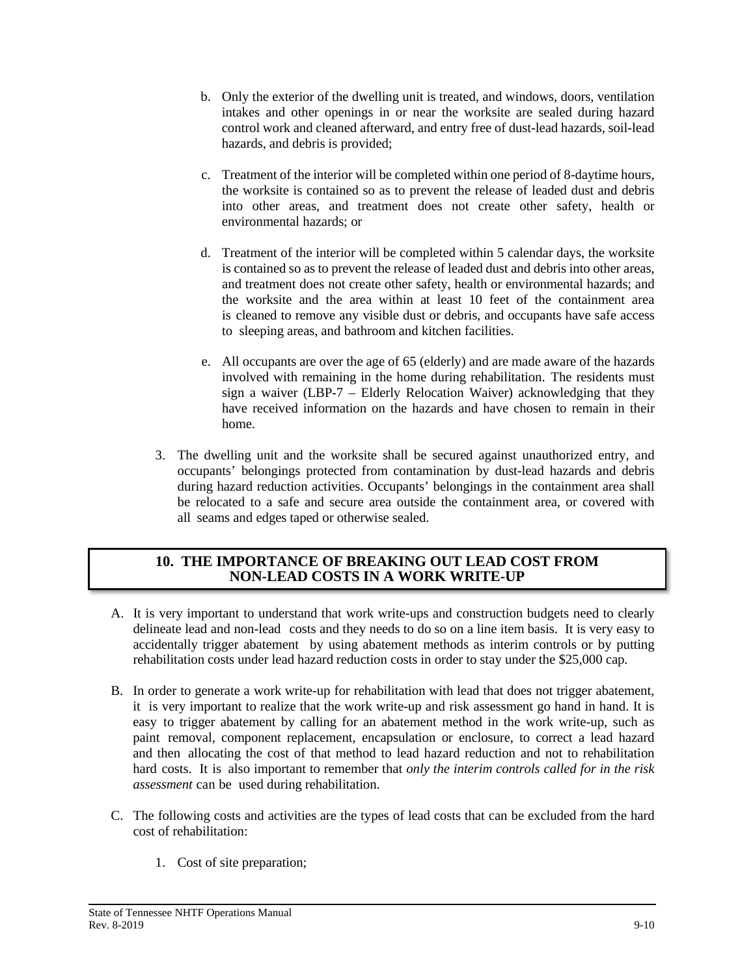- b. Only the exterior of the dwelling unit is treated, and windows, doors, ventilation intakes and other openings in or near the worksite are sealed during hazard control work and cleaned afterward, and entry free of dust-lead hazards, soil-lead hazards, and debris is provided;
- c. Treatment of the interior will be completed within one period of 8-daytime hours, the worksite is contained so as to prevent the release of leaded dust and debris into other areas, and treatment does not create other safety, health or environmental hazards; or
- d. Treatment of the interior will be completed within 5 calendar days, the worksite is contained so as to prevent the release of leaded dust and debris into other areas, and treatment does not create other safety, health or environmental hazards; and the worksite and the area within at least 10 feet of the containment area is cleaned to remove any visible dust or debris, and occupants have safe access to sleeping areas, and bathroom and kitchen facilities.
- e. All occupants are over the age of 65 (elderly) and are made aware of the hazards involved with remaining in the home during rehabilitation. The residents must sign a waiver (LBP-7 – Elderly Relocation Waiver) acknowledging that they have received information on the hazards and have chosen to remain in their home.
- 3. The dwelling unit and the worksite shall be secured against unauthorized entry, and occupants' belongings protected from contamination by dust-lead hazards and debris during hazard reduction activities. Occupants' belongings in the containment area shall be relocated to a safe and secure area outside the containment area, or covered with all seams and edges taped or otherwise sealed.

#### **10. THE IMPORTANCE OF BREAKING OUT LEAD COST FROM NON-LEAD COSTS IN A WORK WRITE-UP**

- A. It is very important to understand that work write-ups and construction budgets need to clearly delineate lead and non-lead costs and they needs to do so on a line item basis. It is very easy to accidentally trigger abatement by using abatement methods as interim controls or by putting rehabilitation costs under lead hazard reduction costs in order to stay under the \$25,000 cap.
- B. In order to generate a work write-up for rehabilitation with lead that does not trigger abatement, it is very important to realize that the work write-up and risk assessment go hand in hand. It is easy to trigger abatement by calling for an abatement method in the work write-up, such as paint removal, component replacement, encapsulation or enclosure, to correct a lead hazard and then allocating the cost of that method to lead hazard reduction and not to rehabilitation hard costs. It is also important to remember that *only the interim controls called for in the risk assessment* can be used during rehabilitation.
- C. The following costs and activities are the types of lead costs that can be excluded from the hard cost of rehabilitation:
	- 1. Cost of site preparation;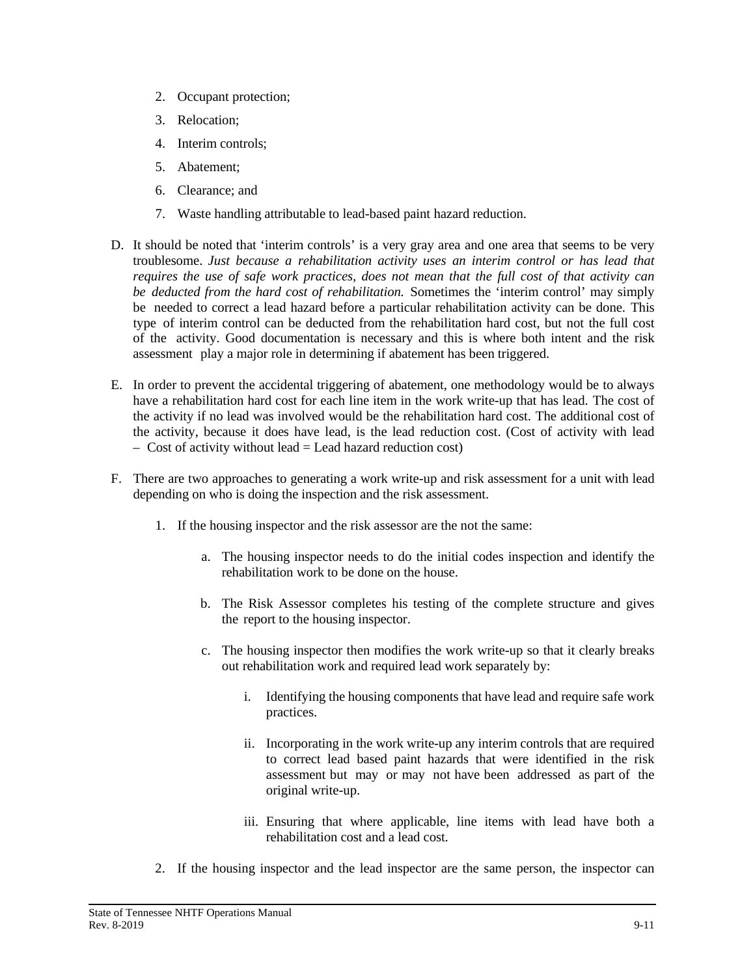- 2. Occupant protection;
- 3. Relocation;
- 4. Interim controls;
- 5. Abatement;
- 6. Clearance; and
- 7. Waste handling attributable to lead-based paint hazard reduction.
- D. It should be noted that 'interim controls' is a very gray area and one area that seems to be very troublesome. *Just because a rehabilitation activity uses an interim control or has lead that requires the use of safe work practices, does not mean that the full cost of that activity can be deducted from the hard cost of rehabilitation.* Sometimes the 'interim control' may simply be needed to correct a lead hazard before a particular rehabilitation activity can be done. This type of interim control can be deducted from the rehabilitation hard cost, but not the full cost of the activity. Good documentation is necessary and this is where both intent and the risk assessment play a major role in determining if abatement has been triggered.
- E. In order to prevent the accidental triggering of abatement, one methodology would be to always have a rehabilitation hard cost for each line item in the work write-up that has lead. The cost of the activity if no lead was involved would be the rehabilitation hard cost. The additional cost of the activity, because it does have lead, is the lead reduction cost. (Cost of activity with lead  $-$  Cost of activity without lead  $=$  Lead hazard reduction cost)
- F. There are two approaches to generating a work write-up and risk assessment for a unit with lead depending on who is doing the inspection and the risk assessment.
	- 1. If the housing inspector and the risk assessor are the not the same:
		- a. The housing inspector needs to do the initial codes inspection and identify the rehabilitation work to be done on the house.
		- b. The Risk Assessor completes his testing of the complete structure and gives the report to the housing inspector.
		- c. The housing inspector then modifies the work write-up so that it clearly breaks out rehabilitation work and required lead work separately by:
			- i. Identifying the housing components that have lead and require safe work practices.
			- ii. Incorporating in the work write-up any interim controls that are required to correct lead based paint hazards that were identified in the risk assessment but may or may not have been addressed as part of the original write-up.
			- iii. Ensuring that where applicable, line items with lead have both a rehabilitation cost and a lead cost.
	- 2. If the housing inspector and the lead inspector are the same person, the inspector can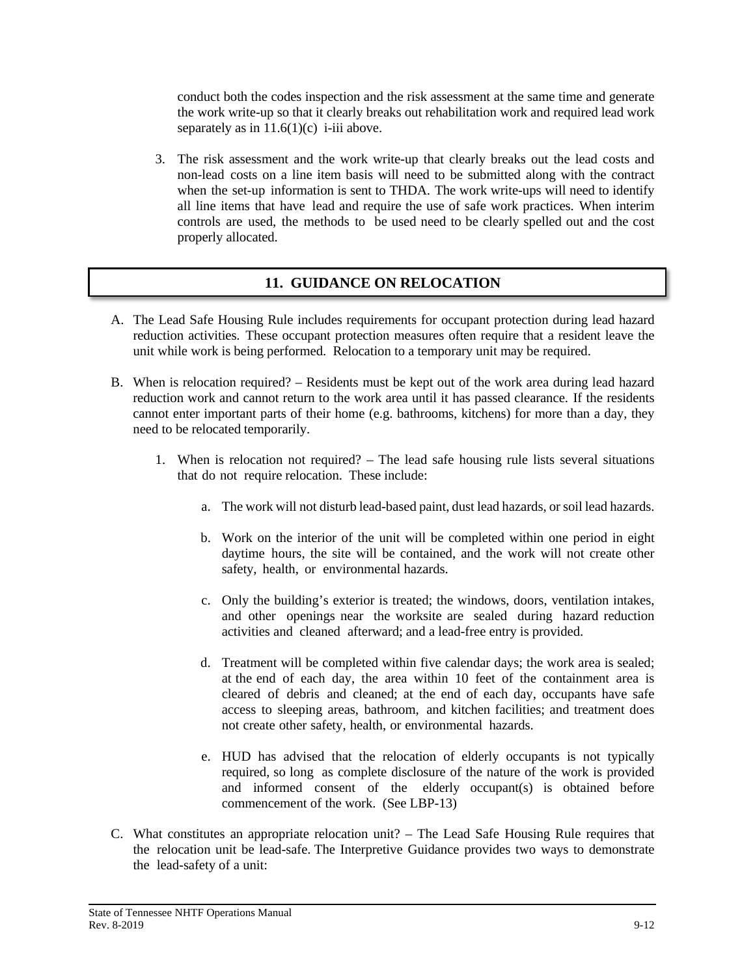conduct both the codes inspection and the risk assessment at the same time and generate the work write-up so that it clearly breaks out rehabilitation work and required lead work separately as in  $11.6(1)(c)$  i-iii above.

3. The risk assessment and the work write-up that clearly breaks out the lead costs and non-lead costs on a line item basis will need to be submitted along with the contract when the set-up information is sent to THDA. The work write-ups will need to identify all line items that have lead and require the use of safe work practices. When interim controls are used, the methods to be used need to be clearly spelled out and the cost properly allocated.

# **11. GUIDANCE ON RELOCATION**

- A. The Lead Safe Housing Rule includes requirements for occupant protection during lead hazard reduction activities. These occupant protection measures often require that a resident leave the unit while work is being performed. Relocation to a temporary unit may be required.
- B. When is relocation required? Residents must be kept out of the work area during lead hazard reduction work and cannot return to the work area until it has passed clearance. If the residents cannot enter important parts of their home (e.g. bathrooms, kitchens) for more than a day, they need to be relocated temporarily.
	- 1. When is relocation not required? The lead safe housing rule lists several situations that do not require relocation. These include:
		- a. The work will not disturb lead-based paint, dust lead hazards, or soil lead hazards.
		- b. Work on the interior of the unit will be completed within one period in eight daytime hours, the site will be contained, and the work will not create other safety, health, or environmental hazards.
		- c. Only the building's exterior is treated; the windows, doors, ventilation intakes, and other openings near the worksite are sealed during hazard reduction activities and cleaned afterward; and a lead-free entry is provided.
		- d. Treatment will be completed within five calendar days; the work area is sealed; at the end of each day, the area within 10 feet of the containment area is cleared of debris and cleaned; at the end of each day, occupants have safe access to sleeping areas, bathroom, and kitchen facilities; and treatment does not create other safety, health, or environmental hazards.
		- e. HUD has advised that the relocation of elderly occupants is not typically required, so long as complete disclosure of the nature of the work is provided and informed consent of the elderly occupant(s) is obtained before commencement of the work. (See LBP-13)
- C. What constitutes an appropriate relocation unit? The Lead Safe Housing Rule requires that the relocation unit be lead-safe. The Interpretive Guidance provides two ways to demonstrate the lead-safety of a unit: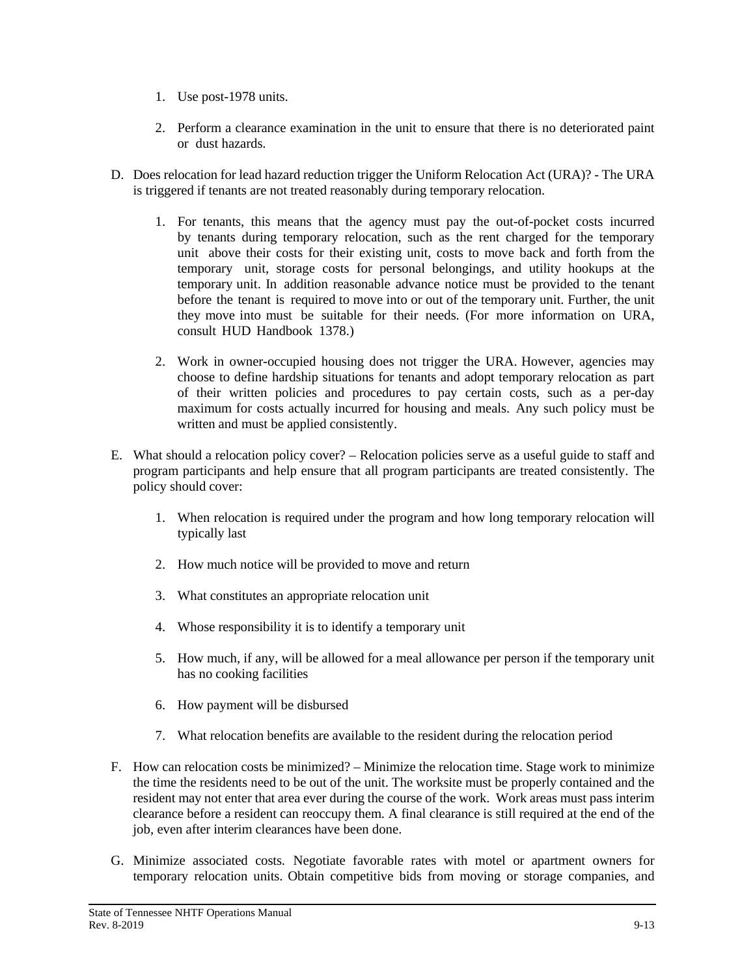- 1. Use post-1978 units.
- 2. Perform a clearance examination in the unit to ensure that there is no deteriorated paint or dust hazards.
- D. Does relocation for lead hazard reduction trigger the Uniform Relocation Act (URA)? The URA is triggered if tenants are not treated reasonably during temporary relocation.
	- 1. For tenants, this means that the agency must pay the out-of-pocket costs incurred by tenants during temporary relocation, such as the rent charged for the temporary unit above their costs for their existing unit, costs to move back and forth from the temporary unit, storage costs for personal belongings, and utility hookups at the temporary unit. In addition reasonable advance notice must be provided to the tenant before the tenant is required to move into or out of the temporary unit. Further, the unit they move into must be suitable for their needs. (For more information on URA, consult HUD Handbook 1378.)
	- 2. Work in owner-occupied housing does not trigger the URA. However, agencies may choose to define hardship situations for tenants and adopt temporary relocation as part of their written policies and procedures to pay certain costs, such as a per-day maximum for costs actually incurred for housing and meals. Any such policy must be written and must be applied consistently.
- E. What should a relocation policy cover? Relocation policies serve as a useful guide to staff and program participants and help ensure that all program participants are treated consistently. The policy should cover:
	- 1. When relocation is required under the program and how long temporary relocation will typically last
	- 2. How much notice will be provided to move and return
	- 3. What constitutes an appropriate relocation unit
	- 4. Whose responsibility it is to identify a temporary unit
	- 5. How much, if any, will be allowed for a meal allowance per person if the temporary unit has no cooking facilities
	- 6. How payment will be disbursed
	- 7. What relocation benefits are available to the resident during the relocation period
- F. How can relocation costs be minimized? Minimize the relocation time. Stage work to minimize the time the residents need to be out of the unit. The worksite must be properly contained and the resident may not enter that area ever during the course of the work. Work areas must pass interim clearance before a resident can reoccupy them. A final clearance is still required at the end of the job, even after interim clearances have been done.
- G. Minimize associated costs. Negotiate favorable rates with motel or apartment owners for temporary relocation units. Obtain competitive bids from moving or storage companies, and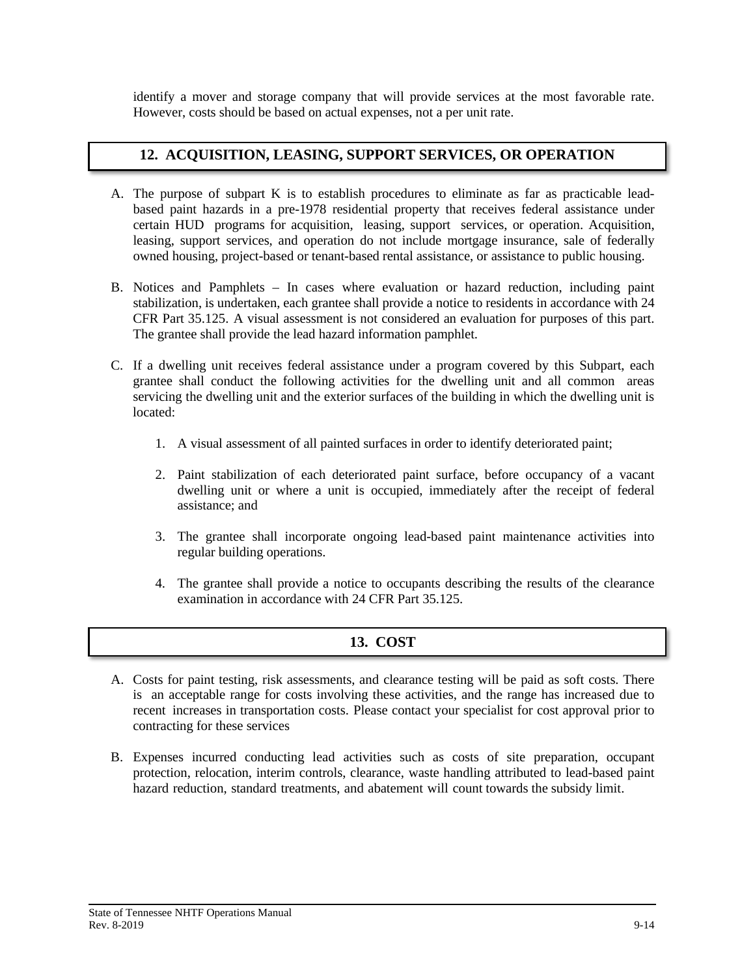identify a mover and storage company that will provide services at the most favorable rate. However, costs should be based on actual expenses, not a per unit rate.

## **12. ACQUISITION, LEASING, SUPPORT SERVICES, OR OPERATION**

- A. The purpose of subpart K is to establish procedures to eliminate as far as practicable leadbased paint hazards in a pre-1978 residential property that receives federal assistance under certain HUD programs for acquisition, leasing, support services, or operation. Acquisition, leasing, support services, and operation do not include mortgage insurance, sale of federally owned housing, project-based or tenant-based rental assistance, or assistance to public housing.
- B. Notices and Pamphlets In cases where evaluation or hazard reduction, including paint stabilization, is undertaken, each grantee shall provide a notice to residents in accordance with 24 CFR Part 35.125. A visual assessment is not considered an evaluation for purposes of this part. The grantee shall provide the lead hazard information pamphlet.
- C. If a dwelling unit receives federal assistance under a program covered by this Subpart, each grantee shall conduct the following activities for the dwelling unit and all common areas servicing the dwelling unit and the exterior surfaces of the building in which the dwelling unit is located:
	- 1. A visual assessment of all painted surfaces in order to identify deteriorated paint;
	- 2. Paint stabilization of each deteriorated paint surface, before occupancy of a vacant dwelling unit or where a unit is occupied, immediately after the receipt of federal assistance; and
	- 3. The grantee shall incorporate ongoing lead-based paint maintenance activities into regular building operations.
	- 4. The grantee shall provide a notice to occupants describing the results of the clearance examination in accordance with 24 CFR Part 35.125.

# **13. COST**

- A. Costs for paint testing, risk assessments, and clearance testing will be paid as soft costs. There is an acceptable range for costs involving these activities, and the range has increased due to recent increases in transportation costs. Please contact your specialist for cost approval prior to contracting for these services
- B. Expenses incurred conducting lead activities such as costs of site preparation, occupant protection, relocation, interim controls, clearance, waste handling attributed to lead-based paint hazard reduction, standard treatments, and abatement will count towards the subsidy limit.